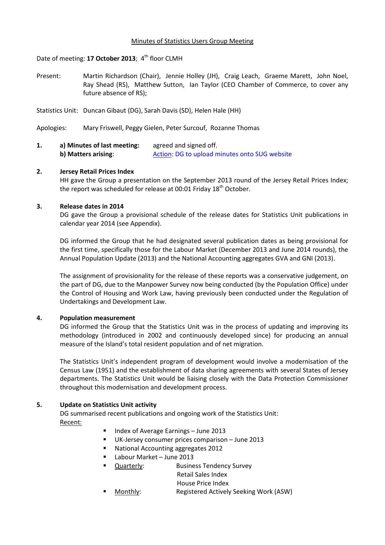#### Minutes of Statistics Users Group Meeting

### Date of meeting: 17 October 2013; 4<sup>th</sup> floor CLMH

- Present: Martin Richardson (Chair), Jennie Holley (JH), Craig Leach, Graeme Marett, John Noel, Ray Shead (RS), Matthew Sutton, Ian Taylor (CEO Chamber of Commerce, to cover any future absence of RS);
- Statistics Unit: Duncan Gibaut (DG), Sarah Davis (SD), Helen Hale (HH)
- Apologies: Mary Friswell, Peggy Gielen, Peter Surcouf, Rozanne Thomas
- **1. a) Minutes of last meeting:** agreed and signed off. **b) Matters arising:** Action: DG to upload minutes onto SUG website

### **2. Jersey Retail Prices Index**

HH gave the Group a presentation on the September 2013 round of the Jersey Retail Prices Index; the report was scheduled for release at 00:01 Friday 18<sup>th</sup> October.

### **3. Release dates in 2014**

DG gave the Group a provisional schedule of the release dates for Statistics Unit publications in calendar year 2014 (see Appendix).

DG informed the Group that he had designated several publication dates as being provisional for the first time, specifically those for the Labour Market (December 2013 and June 2014 rounds), the Annual Population Update (2013) and the National Accounting aggregates GVA and GNI (2013).

The assignment of provisionality for the release of these reports was a conservative judgement, on the part of DG, due to the Manpower Survey now being conducted (by the Population Office) under the Control of Housing and Work Law, having previously been conducted under the Regulation of Undertakings and Development Law.

#### **4. Population measurement**

DG informed the Group that the Statistics Unit was in the process of updating and improving its methodology (introduced in 2002 and continuously developed since) for producing an annual measure of the Island's total resident population and of net migration.

The Statistics Unit's independent program of development would involve a modernisation of the Census Law (1951) and the establishment of data sharing agreements with several States of Jersey departments. The Statistics Unit would be liaising closely with the Data Protection Commissioner throughout this modernisation and development process.

### **5. Update on Statistics Unit activity**

DG summarised recent publications and ongoing work of the Statistics Unit: Recent:

- Index of Average Earnings June 2013
- UK-Jersey consumer prices comparison June 2013
- National Accounting aggregates 2012
- Labour Market June 2013
- Quarterly: Business Tendency Survey
	- Retail Sales Index
	- House Price Index
- Monthly: Registered Actively Seeking Work (ASW)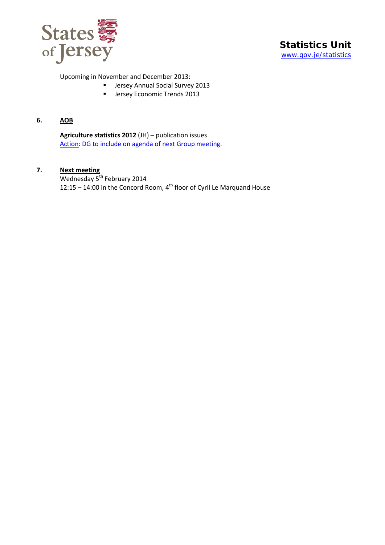

Upcoming in November and December 2013:

- **Jersey Annual Social Survey 2013**
- **Jersey Economic Trends 2013**

## **6. AOB**

**Agriculture statistics 2012** (JH) – publication issues Action: DG to include on agenda of next Group meeting.

## **7. Next meeting**

Wednesday 5<sup>th</sup> February 2014 12:15 – 14:00 in the Concord Room,  $4^{th}$  floor of Cyril Le Marquand House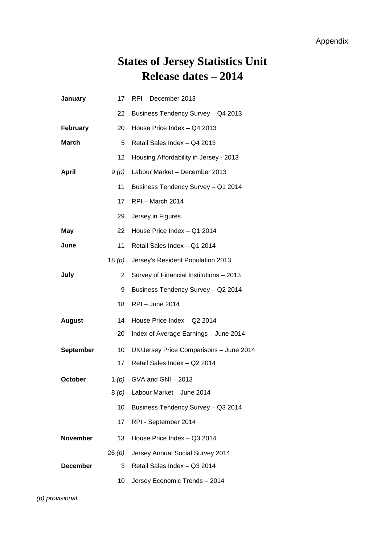# **States of Jersey Statistics Unit Release dates – 2014**

| January          | 17       | RPI-December 2013                       |
|------------------|----------|-----------------------------------------|
|                  | 22       | Business Tendency Survey - Q4 2013      |
| February         | 20       | House Price Index - Q4 2013             |
| <b>March</b>     | 5        | Retail Sales Index - Q4 2013            |
|                  | 12       | Housing Affordability in Jersey - 2013  |
| <b>April</b>     | 9(p)     | Labour Market - December 2013           |
|                  | 11       | Business Tendency Survey - Q1 2014      |
|                  | 17       | RPI - March 2014                        |
|                  | 29       | Jersey in Figures                       |
| May              | 22       | House Price Index - Q1 2014             |
| June             | 11       | Retail Sales Index - Q1 2014            |
|                  | 18 $(p)$ | Jersey's Resident Population 2013       |
| July             | 2        | Survey of Financial Institutions - 2013 |
|                  | 9        | Business Tendency Survey - Q2 2014      |
|                  | 18       | <b>RPI</b> - June 2014                  |
| <b>August</b>    | 14       | House Price Index - Q2 2014             |
|                  | 20       | Index of Average Earnings - June 2014   |
| <b>September</b> | 10       | UK/Jersey Price Comparisons - June 2014 |
|                  | 17       | Retail Sales Index - Q2 2014            |
| October          | 1 $(p)$  | GVA and GNI - 2013                      |
|                  |          | 8 $(p)$ Labour Market - June 2014       |
|                  | 10       | Business Tendency Survey - Q3 2014      |
|                  | 17       | RPI - September 2014                    |
| <b>November</b>  | 13       | House Price Index - Q3 2014             |
|                  | 26 (p)   | Jersey Annual Social Survey 2014        |
| <b>December</b>  | 3        | Retail Sales Index - Q3 2014            |
|                  | 10       | Jersey Economic Trends - 2014           |

*(p) provisional*